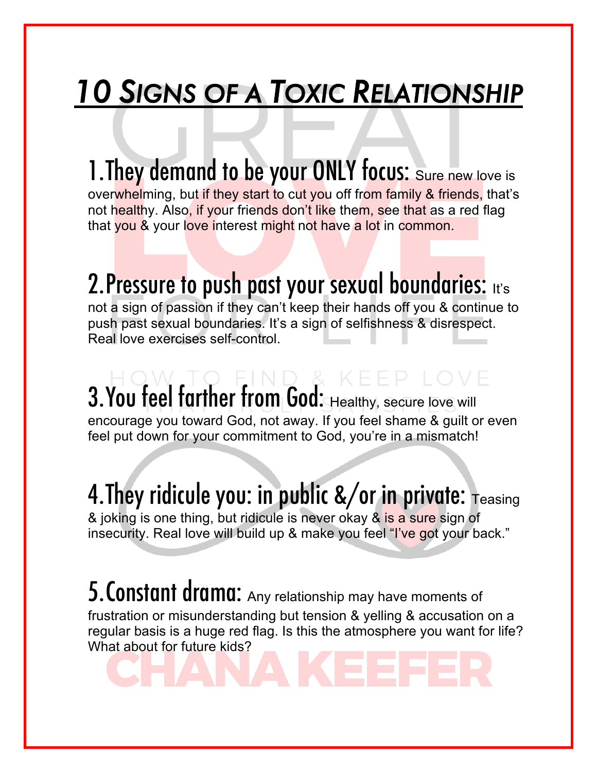# *10 SIGNS OF A TOXIC RELATIONSHIP*

1. They demand to be your ONLY focus: Sure new love is overwhelming, but if they start to cut you off from family & friends, that's not healthy. Also, if your friends don't like them, see that as a red flag that you & your love interest might not have a lot in common.

### 2. Pressure to push past your sexual boundaries: It's

not a sign of passion if they can't keep their hands off you & continue to push past sexual boundaries. It's a sign of selfishness & disrespect. Real love exercises self-control.

 $3.$  You feel farther from God: Healthy, secure love will encourage you toward God, not away. If you feel shame & guilt or even feel put down for your commitment to God, you're in a mismatch!

4. They ridicule you: in public  $\frac{2}{\pi}$  or in private:  $T_{\text{easing}}$ & joking is one thing, but ridicule is never okay & is a sure sign of insecurity. Real love will build up & make you feel "I've got your back."

5. Constant drama: Any relationship may have moments of frustration or misunderstanding but tension & yelling & accusation on a regular basis is a huge red flag. Is this the atmosphere you want for life? What about for future kids?